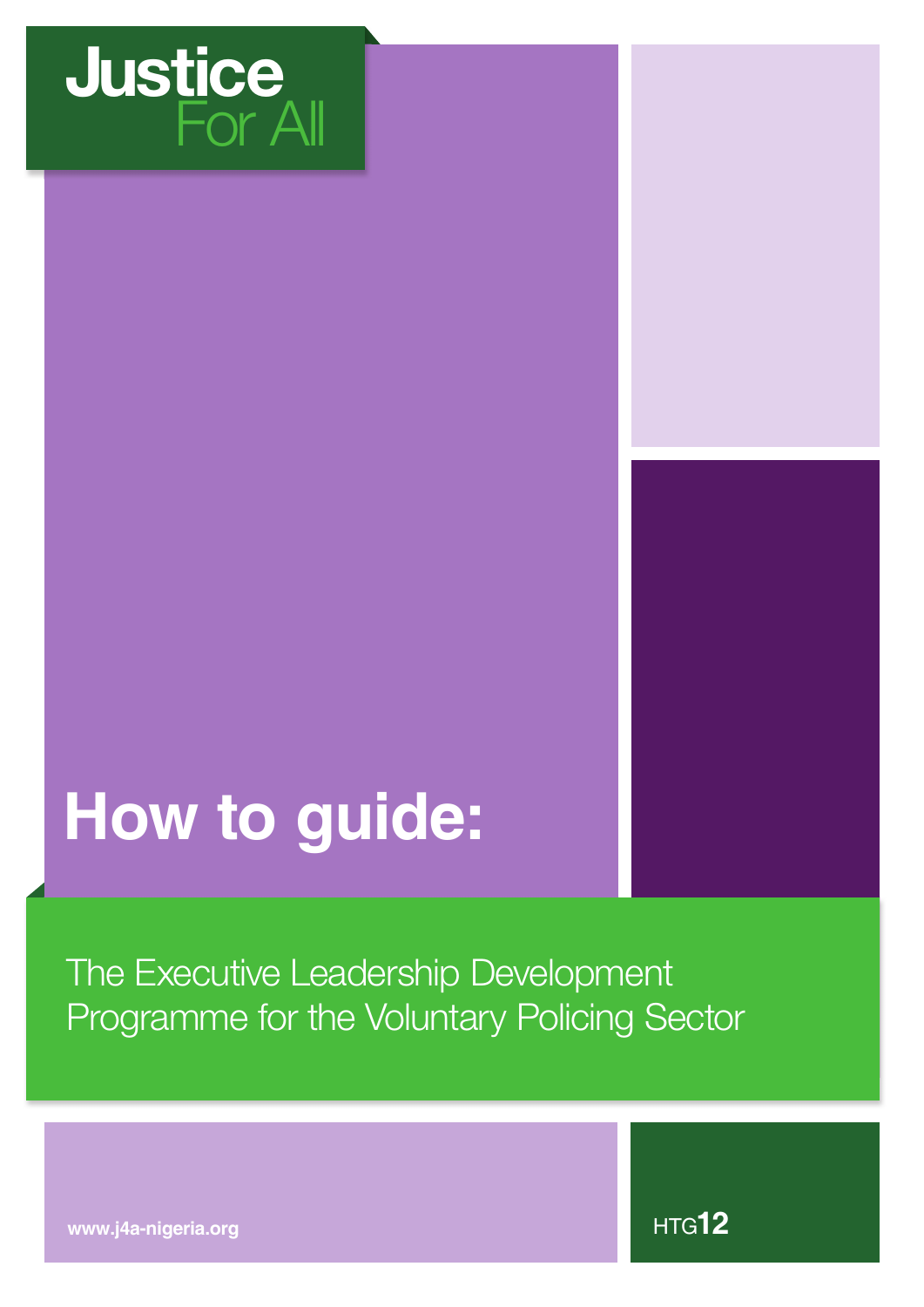

# **How to guide:**

The Executive Leadership Development Programme for the Voluntary Policing Sector

**www.j4a-nigeria.org**

HTG**12**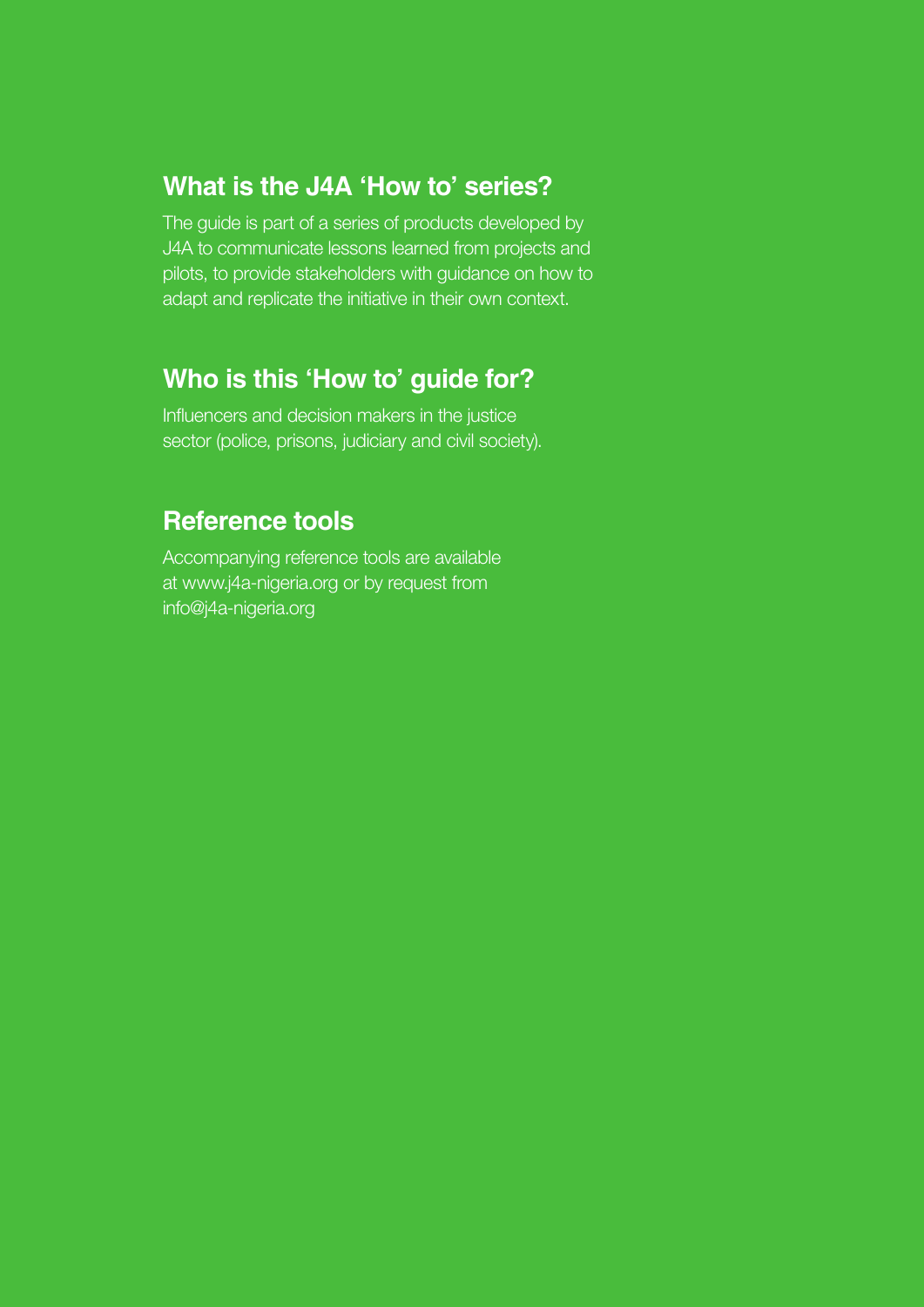## **What is the J4A 'How to' series?**

The guide is part of a series of products developed by J4A to communicate lessons learned from projects and pilots, to provide stakeholders with guidance on how to adapt and replicate the initiative in their own context.

## **Who is this 'How to' guide for?**

Influencers and decision makers in the justice sector (police, prisons, judiciary and civil society).

### **Reference tools**

Accompanying reference tools are available at www.j4a-nigeria.org or by request from info@j4a-nigeria.org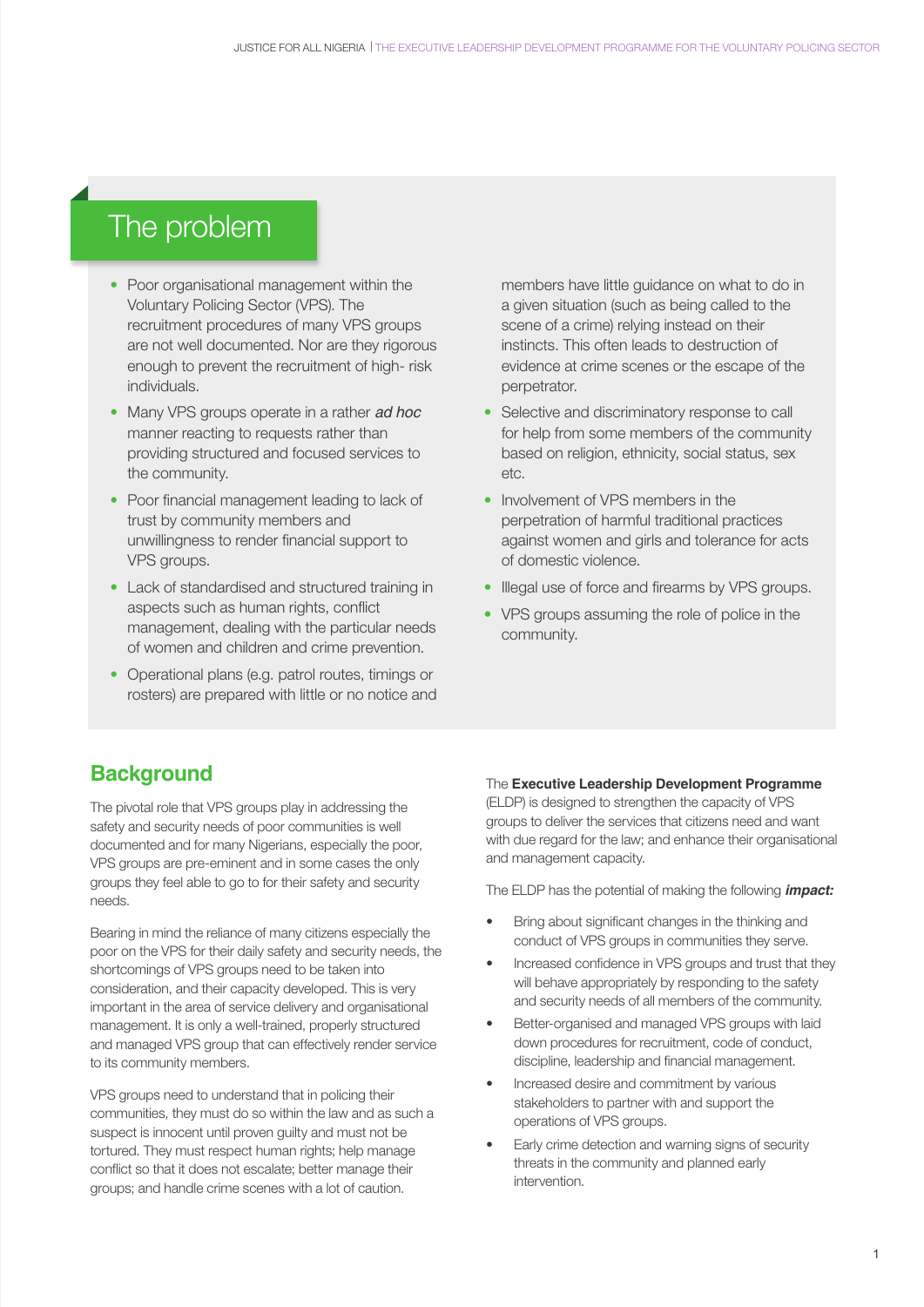## The problem

- Poor organisational management within the Voluntary Policing Sector (VPS). The recruitment procedures of many VPS groups are not well documented. Nor are they rigorous enough to prevent the recruitment of high- risk individuals.
- Many VPS groups operate in a rather *ad hoc*  manner reacting to requests rather than providing structured and focused services to the community.
- Poor financial management leading to lack of trust by community members and unwillingness to render financial support to VPS groups.
- Lack of standardised and structured training in aspects such as human rights, conflict management, dealing with the particular needs of women and children and crime prevention.
- Operational plans (e.g. patrol routes, timings or rosters) are prepared with little or no notice and

members have little guidance on what to do in a given situation (such as being called to the scene of a crime) relying instead on their instincts. This often leads to destruction of evidence at crime scenes or the escape of the perpetrator.

- Selective and discriminatory response to call for help from some members of the community based on religion, ethnicity, social status, sex etc.
- Involvement of VPS members in the perpetration of harmful traditional practices against women and girls and tolerance for acts of domestic violence.
- Illegal use of force and firearms by VPS groups.
- VPS groups assuming the role of police in the community.

#### **Background**

The pivotal role that VPS groups play in addressing the safety and security needs of poor communities is well documented and for many Nigerians, especially the poor, VPS groups are pre-eminent and in some cases the only groups they feel able to go to for their safety and security needs.

Bearing in mind the reliance of many citizens especially the poor on the VPS for their daily safety and security needs, the shortcomings of VPS groups need to be taken into consideration, and their capacity developed. This is very important in the area of service delivery and organisational management. It is only a well-trained, properly structured and managed VPS group that can effectively render service to its community members.

VPS groups need to understand that in policing their communities, they must do so within the law and as such a suspect is innocent until proven guilty and must not be tortured. They must respect human rights; help manage conflict so that it does not escalate; better manage their groups; and handle crime scenes with a lot of caution.

#### The **Executive Leadership Development Programme**

(ELDP) is designed to strengthen the capacity of VPS groups to deliver the services that citizens need and want with due regard for the law; and enhance their organisational and management capacity.

The ELDP has the potential of making the following *impact:*

- Bring about significant changes in the thinking and conduct of VPS groups in communities they serve.
- Increased confidence in VPS groups and trust that they will behave appropriately by responding to the safety and security needs of all members of the community.
- Better-organised and managed VPS groups with laid down procedures for recruitment, code of conduct, discipline, leadership and financial management.
- Increased desire and commitment by various stakeholders to partner with and support the operations of VPS groups.
- Early crime detection and warning signs of security threats in the community and planned early intervention.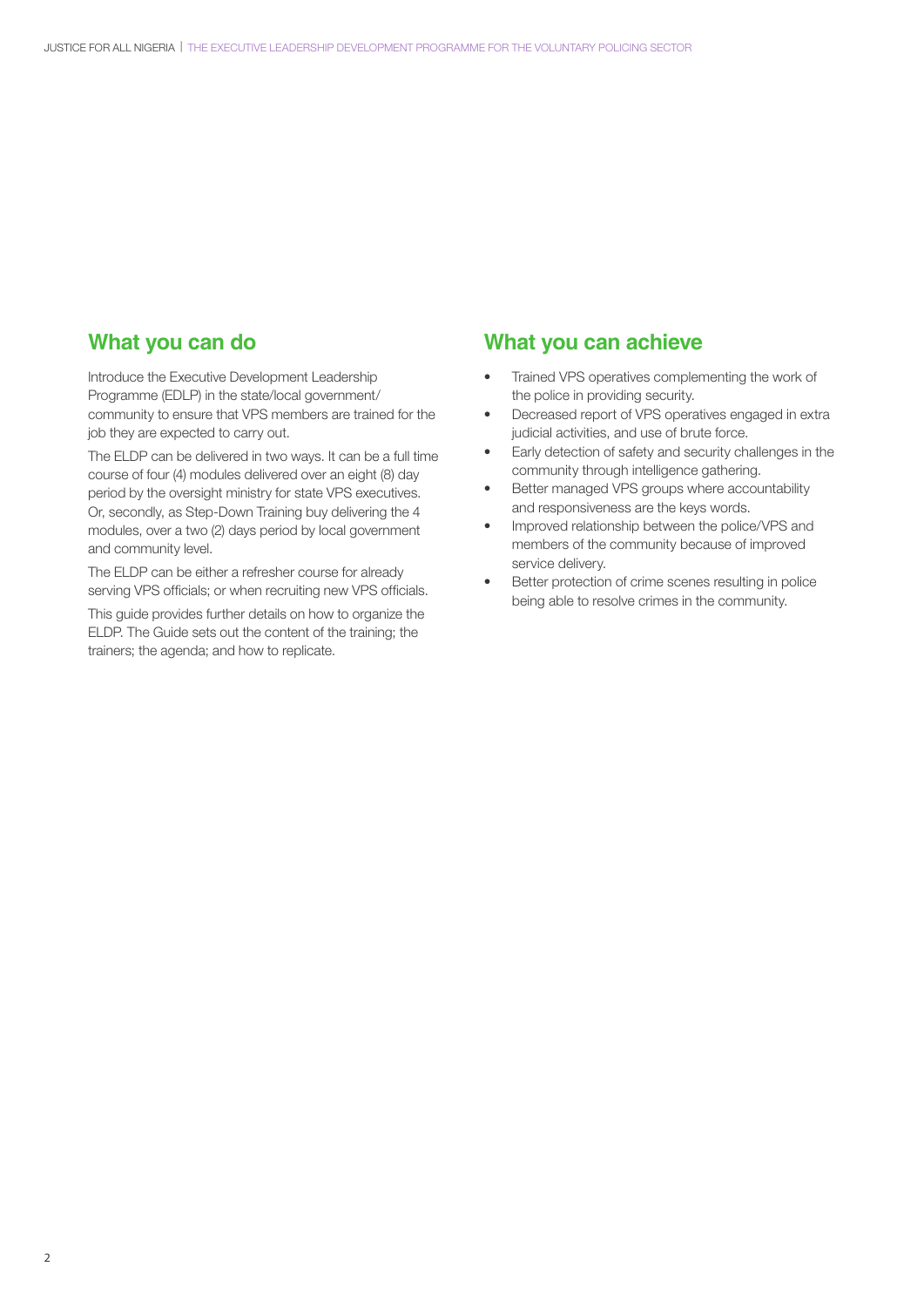#### **What you can do**

Introduce the Executive Development Leadership Programme (EDLP) in the state/local government/ community to ensure that VPS members are trained for the job they are expected to carry out.

The ELDP can be delivered in two ways. It can be a full time course of four (4) modules delivered over an eight (8) day period by the oversight ministry for state VPS executives. Or, secondly, as Step-Down Training buy delivering the 4 modules, over a two (2) days period by local government and community level.

The ELDP can be either a refresher course for already serving VPS officials; or when recruiting new VPS officials.

This guide provides further details on how to organize the ELDP. The Guide sets out the content of the training; the trainers; the agenda; and how to replicate.

#### **What you can achieve**

- Trained VPS operatives complementing the work of the police in providing security.
- Decreased report of VPS operatives engaged in extra judicial activities, and use of brute force.
- Early detection of safety and security challenges in the community through intelligence gathering.
- Better managed VPS groups where accountability and responsiveness are the keys words.
- Improved relationship between the police/VPS and members of the community because of improved service delivery.
- Better protection of crime scenes resulting in police being able to resolve crimes in the community.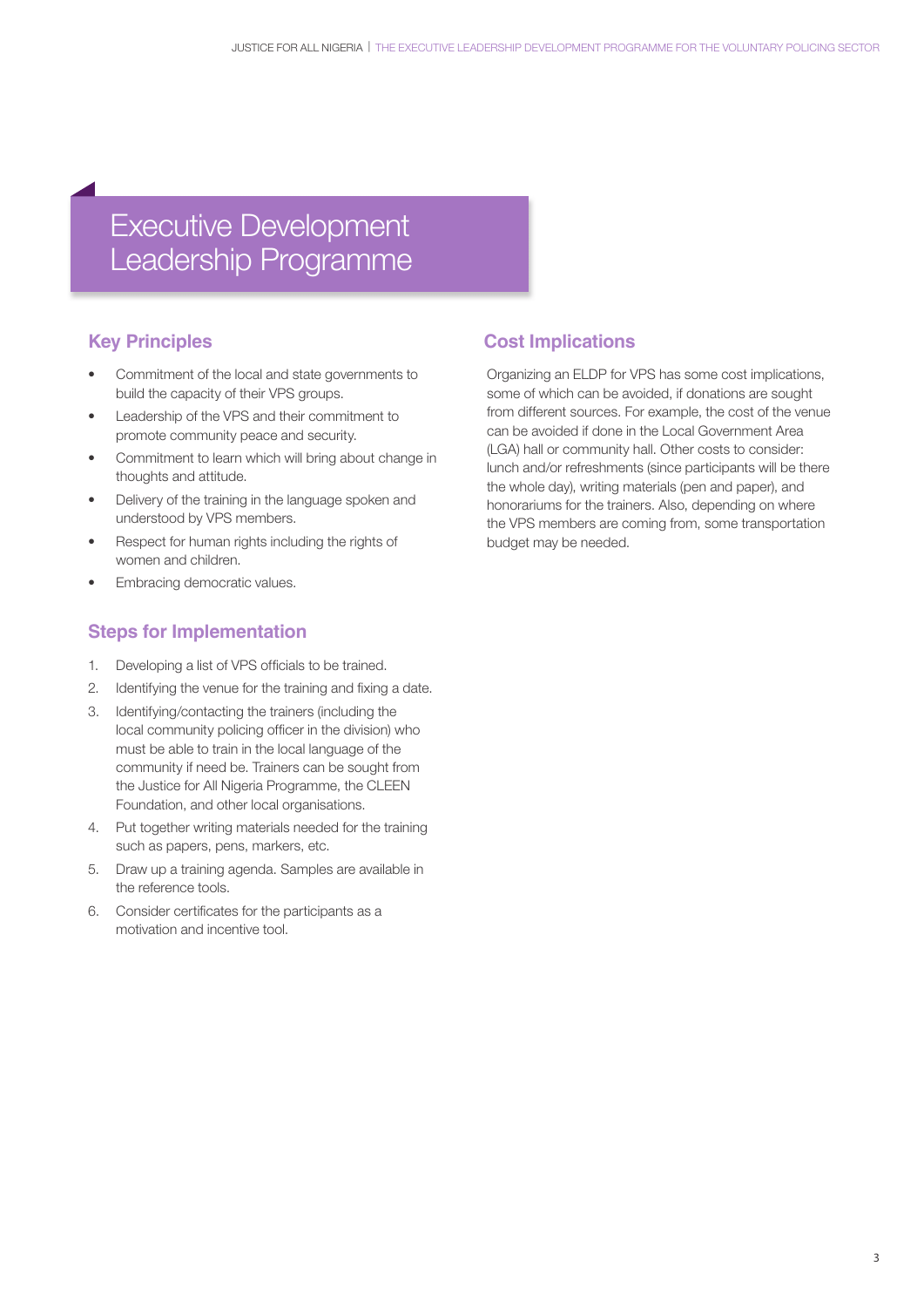## Executive Development Leadership Programme

#### **Key Principles**

- Commitment of the local and state governments to build the capacity of their VPS groups.
- Leadership of the VPS and their commitment to promote community peace and security.
- Commitment to learn which will bring about change in thoughts and attitude.
- Delivery of the training in the language spoken and understood by VPS members.
- Respect for human rights including the rights of women and children.
- Embracing democratic values.

#### **Steps for Implementation**

- 1. Developing a list of VPS officials to be trained.
- 2. Identifying the venue for the training and fixing a date.
- 3. Identifying/contacting the trainers (including the local community policing officer in the division) who must be able to train in the local language of the community if need be. Trainers can be sought from the Justice for All Nigeria Programme, the CLEEN Foundation, and other local organisations.
- 4. Put together writing materials needed for the training such as papers, pens, markers, etc.
- 5. Draw up a training agenda. Samples are available in the reference tools.
- 6. Consider certificates for the participants as a motivation and incentive tool.

#### **Cost Implications**

Organizing an ELDP for VPS has some cost implications, some of which can be avoided, if donations are sought from different sources. For example, the cost of the venue can be avoided if done in the Local Government Area (LGA) hall or community hall. Other costs to consider: lunch and/or refreshments (since participants will be there the whole day), writing materials (pen and paper), and honorariums for the trainers. Also, depending on where the VPS members are coming from, some transportation budget may be needed.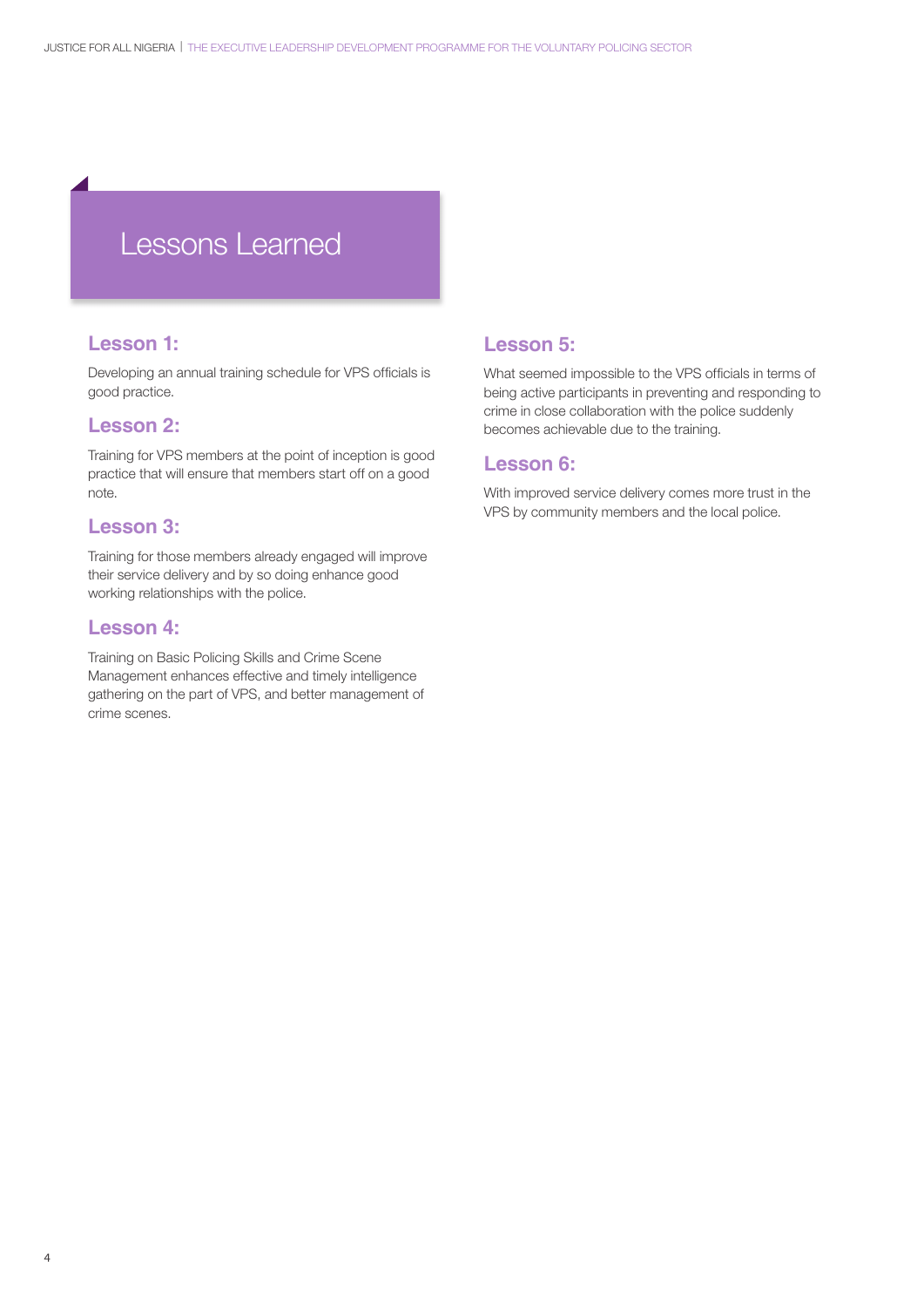# Lessons Learned

#### **Lesson 1:**

Developing an annual training schedule for VPS officials is good practice.

#### **Lesson 2:**

Training for VPS members at the point of inception is good practice that will ensure that members start off on a good note.

#### **Lesson 3:**

Training for those members already engaged will improve their service delivery and by so doing enhance good working relationships with the police.

#### **Lesson 4:**

Training on Basic Policing Skills and Crime Scene Management enhances effective and timely intelligence gathering on the part of VPS, and better management of crime scenes.

#### **Lesson 5:**

What seemed impossible to the VPS officials in terms of being active participants in preventing and responding to crime in close collaboration with the police suddenly becomes achievable due to the training.

#### **Lesson 6:**

With improved service delivery comes more trust in the VPS by community members and the local police.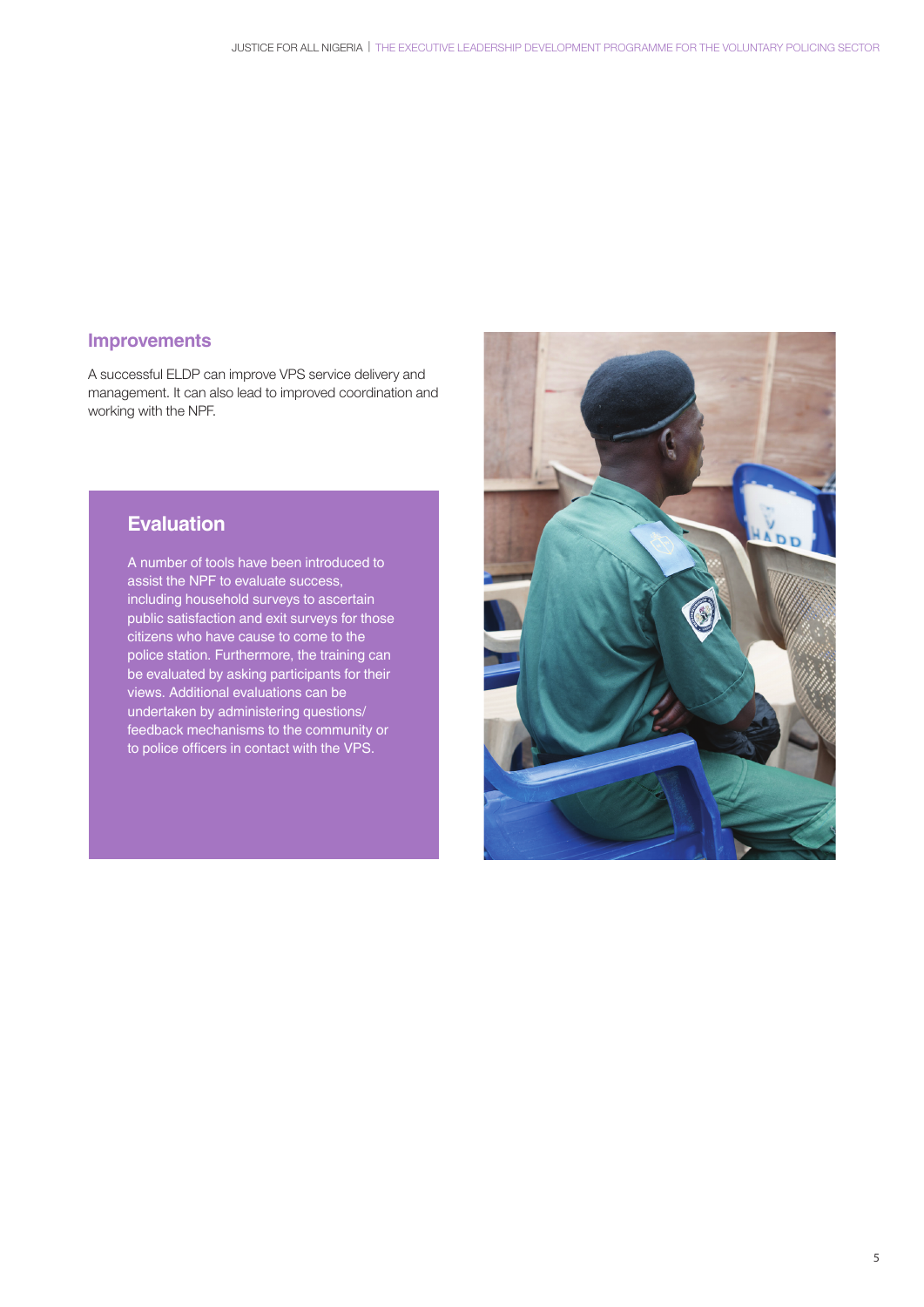#### **Improvements**

A successful ELDP can improve VPS service delivery and management. It can also lead to improved coordination and working with the NPF.

#### **Evaluation**

A number of tools have been introduced to assist the NPF to evaluate success, including household surveys to ascertain public satisfaction and exit surveys for those citizens who have cause to come to the police station. Furthermore, the training can be evaluated by asking participants for their views. Additional evaluations can be undertaken by administering questions/ feedback mechanisms to the community or to police officers in contact with the VPS.